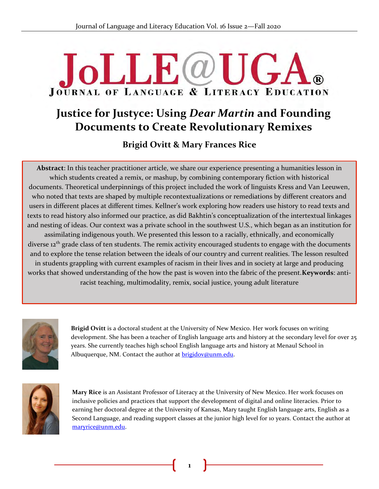# **JoLLE**@U  $\mathbf{G}$ **JOURNAL OF LANGUAGE & LITERACY EDUCATION**

## **Justice for Justyce: Using** *Dear Martin* **and Founding Documents to Create Revolutionary Remixes**

**Brigid Ovitt & Mary Frances Rice**

**Abstract**: In this teacher practitioner article, we share our experience presenting a humanities lesson in which students created a remix, or mashup, by combining contemporary fiction with historical documents. Theoretical underpinnings of this project included the work of linguists Kress and Van Leeuwen, & who noted that texts are shaped by multiple recontextualizations or remediations by different creators and users in different places at different times. Kellner's work exploring how readers use history to read texts and texts to read history also informed our practice, as did Bakhtin's conceptualization of the intertextual linkages and nesting of ideas. Our context was a private school in the southwest U.S., which began as an institution for assimilating indigenous youth. We presented this lesson to a racially, ethnically, and economically diverse 12<sup>th</sup> grade class of ten students. The remix activity encouraged students to engage with the documents and to explore the tense relation between the ideals of our country and current realities. The lesson resulted in students grappling with current examples of racism in their lives and in society at large and producing works that showed understanding of the how the past is woven into the fabric of the present.**Keywords**: antiracist teaching, multimodality, remix, social justice, young adult literature



**Brigid Ovitt** is a doctoral student at the University of New Mexico. Her work focuses on writing development. She has been a teacher of English language arts and history at the secondary level for over 25 years. She currently teaches high school English language arts and history at Menaul School in Albuquerque, NM. Contact the author at **brigidov@unm.edu**.



**Mary Rice** is an Assistant Professor of Literacy at the University of New Mexico. Her work focuses on inclusive policies and practices that support the development of digital and online literacies. Prior to .earning her doctoral degree at the University of Kansas, Mary taught English language arts, English as a Second Language, and reading support classes at the junior high level for 10 years. Contact the author at [maryrice@unm.edu.](mailto:maryrice@unm.edu)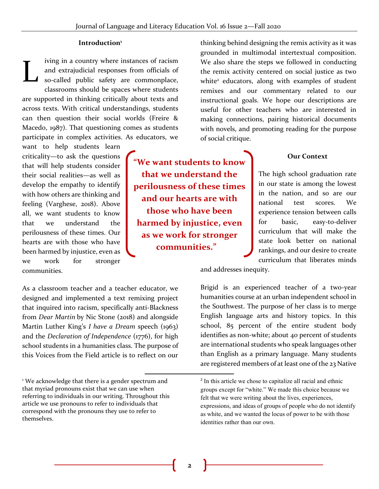**"We want students to know** 

**that we understand the perilousness of these times and our hearts are with those who have been** 

**harmed by injustice, even as we work for stronger communities."**

#### **Introduction<sup>1</sup>**

iving in a country where instances of racism and extrajudicial responses from officials of so-called public safety are commonplace, classrooms should be spaces where students are supported in thinking critically about texts and across texts. With critical understandings, students can then question their social worlds (Freire & Macedo, 1987). That questioning comes as students participate in complex activities. As educators, we L

want to help students learn criticality—to ask the questions that will help students consider their social realities—as well as develop the empathy to identify with how others are thinking and feeling (Varghese, 2018). Above all, we want students to know that we understand the perilousness of these times. Our hearts are with those who have been harmed by injustice, even as we work for stronger communities.

As a classroom teacher and a teacher educator, we designed and implemented a text remixing project that inquired into racism, specifically anti-Blackness from *Dear Martin* by Nic Stone (2018) and alongside Martin Luther King's *I have a Dream* speech (1963) and the *Declaration of Independence* (1776), for high school students in a humanities class. The purpose of this Voices from the Field article is to reflect on our

thinking behind designing the remix activity as it was grounded in multimodal intertextual composition. We also share the steps we followed in conducting the remix activity centered on social justice as two white<sup>2</sup> educators, along with examples of student remixes and our commentary related to our instructional goals. We hope our descriptions are useful for other teachers who are interested in making connections, pairing historical documents with novels, and promoting reading for the purpose of social critique.

#### **Our Context**

The high school graduation rate in our state is among the lowest in the nation, and so are our national test scores. We experience tension between calls for basic, easy-to-deliver curriculum that will make the state look better on national rankings, and our desire to create curriculum that liberates minds

and addresses inequity.

Brigid is an experienced teacher of a two-year humanities course at an urban independent school in the Southwest. The purpose of her class is to merge English language arts and history topics. In this school, 85 percent of the entire student body identifies as non-white; about 40 percent of students are international students who speak languages other than English as a primary language. Many students are registered members of at least one of the 23 Native

<sup>&</sup>lt;sup>1</sup> We acknowledge that there is a gender spectrum and that myriad pronouns exist that we can use when referring to individuals in our writing. Throughout this article we use pronouns to refer to individuals that correspond with the pronouns they use to refer to themselves.

<sup>&</sup>lt;sup>2</sup> In this article we chose to capitalize all racial and ethnic groups except for "white." We made this choice because we felt that we were writing about the lives, experiences, expressions, and ideas of groups of people who do not identify as white, and we wanted the locus of power to be with those identities rather than our own.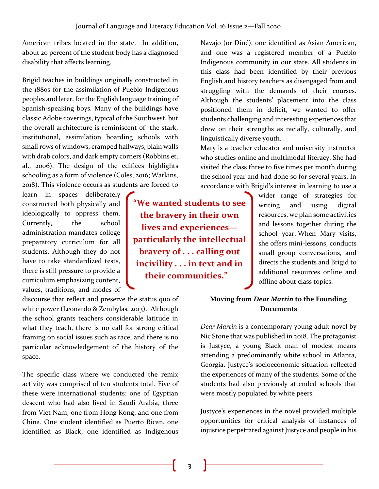American tribes located in the state. In addition, about 20 percent of the student body has a diagnosed disability that affects learning.

Brigid teaches in buildings originally constructed in the 1880s for the assimilation of Pueblo Indigenous peoples and later, for the English language training of Spanish-speaking boys. Many of the buildings have classic Adobe coverings, typical of the Southwest, but the overall architecture is reminiscent of the stark, institutional, assimilation boarding schools with small rows of windows, cramped hallways, plain walls with drab colors, and dark empty corners (Robbins et. al., 2006). The design of the edifices highlights schooling as a form of violence (Coles, 2016; Watkins, 2018). This violence occurs as students are forced to

learn in spaces deliberately constructed both physically and ideologically to oppress them. Currently, the school administration mandates college preparatory curriculum for all students. Although they do not have to take standardized tests, there is still pressure to provide a curriculum emphasizing content, values, traditions, and modes of

discourse that reflect and preserve the status quo of white power (Leonardo & Zembylas, 2013). Although the school grants teachers considerable latitude in what they teach, there is no call for strong critical framing on social issues such as race, and there is no particular acknowledgement of the history of the space.

The specific class where we conducted the remix activity was comprised of ten students total. Five of these were international students: one of Egyptian descent who had also lived in Saudi Arabia, three from Viet Nam, one from Hong Kong, and one from China. One student identified as Puerto Rican, one identified as Black, one identified as Indigenous

**"We wanted students to see the bravery in their own lives and experiences particularly the intellectual bravery of . . . calling out incivility . . . in text and in their communities."**

Navajo (or Diné), one identified as Asian American, and one was a registered member of a Pueblo Indigenous community in our state. All students in this class had been identified by their previous English and history teachers as disengaged from and struggling with the demands of their courses. Although the students' placement into the class positioned them in deficit, we wanted to offer students challenging and interesting experiences that drew on their strengths as racially, culturally, and linguistically diverse youth.

Mary is a teacher educator and university instructor who studies online and multimodal literacy. She had visited the class three to five times per month during the school year and had done so for several years. In accordance with Brigid's interest in learning to use a

> wider range of strategies for writing and using digital resources, we plan some activities and lessons together during the school year. When Mary visits, she offers mini-lessons, conducts small group conversations, and directs the students and Brigid to additional resources online and offline about class topics.

## **Moving from** *Dear Martin* **to the Founding Documents**

*Dear Martin* is a contemporary young adult novel by Nic Stone that was published in 2018. The protagonist is Justyce, a young Black man of modest means attending a predominantly white school in Atlanta, Georgia. Justyce's socioeconomic situation reflected the experiences of many of the students. Some of the students had also previously attended schools that were mostly populated by white peers.

Justyce's experiences in the novel provided multiple opportunities for critical analysis of instances of injustice perpetrated against Justyce and people in his

**3**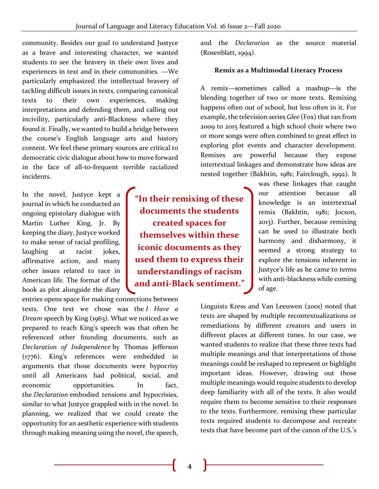community. Besides our goal to understand Justyce as a brave and interesting character, we wanted students to see the bravery in their own lives and experiences in text and in their communities. —We particularly emphasized the intellectual bravery of tackling difficult issues in texts, comparing canonical texts to their own experiences, making interpretations and defending them, and calling out incivility, particularly anti-Blackness where they found it. Finally, we wanted to build a bridge between the course's English language arts and history content. We feel these primary sources are critical to democratic civic dialogue about how to move forward in the face of all-to-frequent terrible racialized incidents.

In the novel, Justyce kept a journal in which he conducted an ongoing epistolary dialogue with Martin Luther King, Jr. By keeping the diary, Justyce worked to make sense of racial profiling, laughing at racist jokes, affirmative action, and many other issues related to race in American life. The format of the book as plot alongside the diary

entries opens space for making connections between texts. One text we chose was the *I Have a Dream* speech by King (1963). What we noticed as we prepared to teach King's speech was that often he referenced other founding documents, such as *Declaration of Independence* by Thomas Jefferson (1776). King's references were embedded in arguments that those documents were hypocrisy until all Americans had political, social, and economic opportunities. In fact, the *Declaration* embodied tensions and hypocrisies, similar to what Justyce grappled with in the novel. In planning, we realized that we could create the opportunity for an aesthetic experience with students through making meaning using the novel, the speech,

**"In their remixing of these documents the students created spaces for themselves within these iconic documents as they used them to express their understandings of racism and anti-Black sentiment."**

and the *Declaration* as the source material (Rosenblatt, 1994).

### **Remix as a Multimodal Literacy Process**

A remix—sometimes called a mashup—is the blending together of two or more texts. Remixing happens often out of school, but less often in it. For example, the television series *Glee* (Fox) that ran from 2009 to 2015 featured a high school choir where two or more songs were often combined to great effect in exploring plot events and character development. Remixes are powerful because they expose intertextual linkages and demonstrate how ideas are nested together (Bakhtin, 1981; Fairclough, 1992). It

> was these linkages that caught our attention because all knowledge is an intertextual remix (Bakhtin, 1981; Jocson, 2013). Further, because remixing can be used to illustrate both harmony and disharmony, it seemed a strong strategy to explore the tensions inherent in Justyce's life as he came to terms with anti-blackness while coming of age.

Linguists Kress and Van Leeuwen (2001) noted that texts are shaped by multiple recontextualizations or remediations by different creators and users in different places at different times. In our case, we wanted students to realize that these three texts had multiple meanings and that interpretations of those meanings could be reshaped to represent or highlight important ideas. However, drawing out those multiple meanings would require students to develop deep familiarity with all of the texts. It also would require them to become sensitive to their responses to the texts. Furthermore, remixing these particular texts required students to decompose and recreate texts that have become part of the canon of the U.S.'s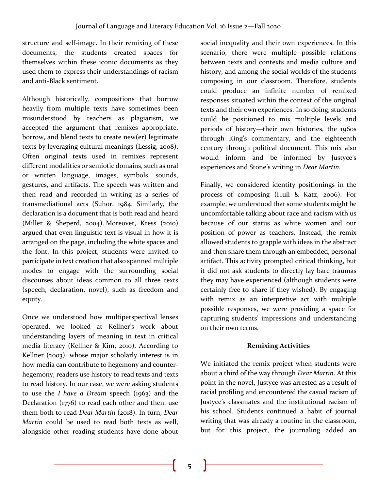structure and self-image. In their remixing of these documents, the students created spaces for themselves within these iconic documents as they used them to express their understandings of racism and anti-Black sentiment.

Although historically, compositions that borrow heavily from multiple texts have sometimes been misunderstood by teachers as plagiarism, we accepted the argument that remixes appropriate, borrow, and blend texts to create new(er) legitimate texts by leveraging cultural meanings (Lessig, 2008). Often original texts used in remixes represent different modalities or semiotic domains, such as oral or written language, images, symbols, sounds, gestures, and artifacts. The speech was written and then read and recorded in writing as a series of transmediational acts (Suhor, 1984. Similarly, the declaration is a document that is both read and heard (Miller & Sheperd, 2004). Moreover, Kress (2010) argued that even linguistic text is visual in how it is arranged on the page, including the white spaces and the font. In this project, students were invited to participate in text creation that also spanned multiple modes to engage with the surrounding social discourses about ideas common to all three texts (speech, declaration, novel), such as freedom and equity.

Once we understood how multiperspectival lenses operated, we looked at Kellner's work about understanding layers of meaning in text in critical media literacy (Kellner & Kim, 2010). According to Kellner (2003), whose major scholarly interest is in how media can contribute to hegemony and counterhegemony, readers use history to read texts and texts to read history. In our case, we were asking students to use the *I have a Dream* speech (1963) and the Declaration (1776) to read each other and then, use them both to read *Dear Martin* (2018). In turn, *Dear Martin* could be used to read both texts as well, alongside other reading students have done about

social inequality and their own experiences. In this scenario, there were multiple possible relations between texts and contexts and media culture and history, and among the social worlds of the students composing in our classroom. Therefore, students could produce an infinite number of remixed responses situated within the context of the original texts and their own experiences. In so doing, students could be positioned to mix multiple levels and periods of history—their own histories, the 1960s through King's commentary, and the eighteenth century through political document. This mix also would inform and be informed by Justyce's experiences and Stone's writing in *Dear Martin*.

Finally, we considered identity positionings in the process of composing (Hull & Katz, 2006). For example, we understood that some students might be uncomfortable talking about race and racism with us because of our status as white women and our position of power as teachers. Instead, the remix allowed students to grapple with ideas in the abstract and then share them through an embedded, personal artifact. This activity prompted critical thinking, but it did not ask students to directly lay bare traumas they may have experienced (although students were certainly free to share if they wished). By engaging with remix as an interpretive act with multiple possible responses, we were providing a space for capturing students' impressions and understanding on their own terms.

## **Remixing Activities**

We initiated the remix project when students were about a third of the way through *Dear Martin*. At this point in the novel, Justyce was arrested as a result of racial profiling and encountered the casual racism of Justyce's classmates and the institutional racism of his school. Students continued a habit of journal writing that was already a routine in the classroom, but for this project, the journaling added an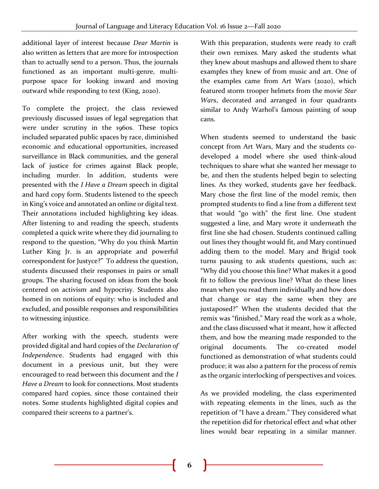additional layer of interest because *Dear Martin* is also written as letters that are more for introspection than to actually send to a person. Thus, the journals functioned as an important multi-genre, multipurpose space for looking inward and moving outward while responding to text (King, 2020).

To complete the project, the class reviewed previously discussed issues of legal segregation that were under scrutiny in the 1960s. These topics included separated public spaces by race, diminished economic and educational opportunities, increased surveillance in Black communities, and the general lack of justice for crimes against Black people, including murder. In addition, students were presented with the *I Have a Dream* speech in digital and hard copy form. Students listened to the speech in King's voice and annotated an online or digital text. Their annotations included highlighting key ideas. After listening to and reading the speech, students completed a quick write where they did journaling to respond to the question, "Why do you think Martin Luther King Jr. is an appropriate and powerful correspondent for Justyce?" To address the question, students discussed their responses in pairs or small groups. The sharing focused on ideas from the book centered on activism and hypocrisy. Students also homed in on notions of equity: who is included and excluded, and possible responses and responsibilities to witnessing injustice.

After working with the speech, students were provided digital and hard copies of the *Declaration of Independenc*e. Students had engaged with this document in a previous unit, but they were encouraged to read between this document and the *I Have a Dream* to look for connections. Most students compared hard copies, since those contained their notes. Some students highlighted digital copies and compared their screens to a partner's.

With this preparation, students were ready to craft their own remixes. Mary asked the students what they knew about mashups and allowed them to share examples they knew of from music and art. One of the examples came from Art Wars (2020), which featured storm trooper helmets from the movie *Star Wars*, decorated and arranged in four quadrants similar to Andy Warhol's famous painting of soup cans.

When students seemed to understand the basic concept from Art Wars, Mary and the students codeveloped a model where she used think-aloud techniques to share what she wanted her message to be, and then the students helped begin to selecting lines. As they worked, students gave her feedback. Mary chose the first line of the model remix, then prompted students to find a line from a different text that would "go with" the first line. One student suggested a line, and Mary wrote it underneath the first line she had chosen. Students continued calling out lines they thought would fit, and Mary continued adding them to the model. Mary and Brigid took turns pausing to ask students questions, such as: "Why did you choose this line? What makes it a good fit to follow the previous line? What do these lines mean when you read them individually and how does that change or stay the same when they are juxtaposed?" When the students decided that the remix was "finished," Mary read the work as a whole, and the class discussed what it meant, how it affected them, and how the meaning made responded to the original documents. The co-created model functioned as demonstration of what students could produce; it was also a pattern for the process of remix as the organic interlocking of perspectives and voices.

As we provided modeling, the class experimented with repeating elements in the lines, such as the repetition of "I have a dream." They considered what the repetition did for rhetorical effect and what other lines would bear repeating in a similar manner.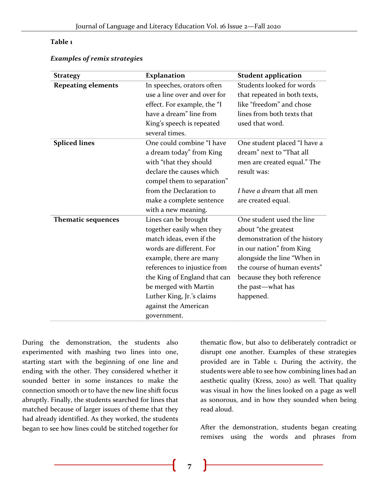## **Table 1**

#### *Examples of remix strategies*

| <b>Strategy</b>           | <b>Explanation</b>                                                                                                                                                                                                                                                                                | <b>Student application</b>                                                                                                                                                                                                                  |
|---------------------------|---------------------------------------------------------------------------------------------------------------------------------------------------------------------------------------------------------------------------------------------------------------------------------------------------|---------------------------------------------------------------------------------------------------------------------------------------------------------------------------------------------------------------------------------------------|
| <b>Repeating elements</b> | In speeches, orators often<br>use a line over and over for<br>effect. For example, the "I<br>have a dream" line from<br>King's speech is repeated<br>several times.                                                                                                                               | Students looked for words<br>that repeated in both texts,<br>like "freedom" and chose<br>lines from both texts that<br>used that word.                                                                                                      |
| <b>Spliced lines</b>      | One could combine "I have<br>a dream today" from King<br>with "that they should<br>declare the causes which<br>compel them to separation"<br>from the Declaration to<br>make a complete sentence<br>with a new meaning.                                                                           | One student placed "I have a<br>dream" next to "That all<br>men are created equal." The<br>result was:<br>I have a dream that all men<br>are created equal.                                                                                 |
| <b>Thematic sequences</b> | Lines can be brought<br>together easily when they<br>match ideas, even if the<br>words are different. For<br>example, there are many<br>references to injustice from<br>the King of England that can<br>be merged with Martin<br>Luther King, Jr.'s claims<br>against the American<br>government. | One student used the line<br>about "the greatest<br>demonstration of the history<br>in our nation" from King<br>alongside the line "When in<br>the course of human events"<br>because they both reference<br>the past—what has<br>happened. |

During the demonstration, the students also experimented with mashing two lines into one, starting start with the beginning of one line and ending with the other. They considered whether it sounded better in some instances to make the connection smooth or to have the new line shift focus abruptly. Finally, the students searched for lines that matched because of larger issues of theme that they had already identified. As they worked, the students began to see how lines could be stitched together for

thematic flow, but also to deliberately contradict or disrupt one another. Examples of these strategies provided are in Table 1. During the activity, the students were able to see how combining lines had an aesthetic quality (Kress, 2010) as well. That quality was visual in how the lines looked on a page as well as sonorous, and in how they sounded when being read aloud.

After the demonstration, students began creating remixes using the words and phrases from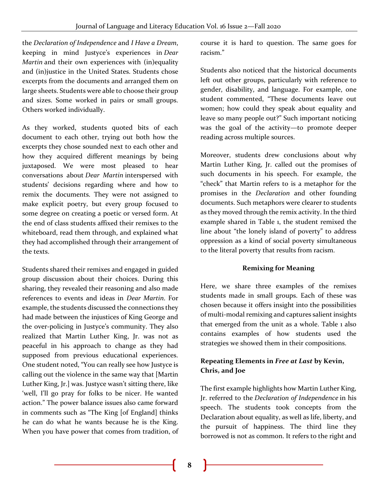the *Declaration of Independence* and *I Have a Dream*, keeping in mind Justyce's experiences in *Dear Martin* and their own experiences with (in)equality and (in)justice in the United States. Students chose excerpts from the documents and arranged them on large sheets. Students were able to choose their group and sizes. Some worked in pairs or small groups. Others worked individually.

As they worked, students quoted bits of each document to each other, trying out both how the excerpts they chose sounded next to each other and how they acquired different meanings by being juxtaposed. We were most pleased to hear conversations about *Dear Martin* interspersed with students' decisions regarding where and how to remix the documents. They were not assigned to make explicit poetry, but every group focused to some degree on creating a poetic or versed form. At the end of class students affixed their remixes to the whiteboard, read them through, and explained what they had accomplished through their arrangement of the texts.

Students shared their remixes and engaged in guided group discussion about their choices. During this sharing, they revealed their reasoning and also made references to events and ideas in *Dear Martin*. For example, the students discussed the connections they had made between the injustices of King George and the over-policing in Justyce's community. They also realized that Martin Luther King, Jr. was not as peaceful in his approach to change as they had supposed from previous educational experiences. One student noted, "You can really see how Justyce is calling out the violence in the same way that [Martin Luther King, Jr.] was. Justyce wasn't sitting there, like 'well, I'll go pray for folks to be nicer. He wanted action." The power balance issues also came forward in comments such as "The King [of England] thinks he can do what he wants because he is the King. When you have power that comes from tradition, of

course it is hard to question. The same goes for racism."

Students also noticed that the historical documents left out other groups, particularly with reference to gender, disability, and language. For example, one student commented, "These documents leave out women; how could they speak about equality and leave so many people out?" Such important noticing was the goal of the activity—to promote deeper reading across multiple sources.

Moreover, students drew conclusions about why Martin Luther King, Jr. called out the promises of such documents in his speech. For example, the "check" that Martin refers to is a metaphor for the promises in the *Declaration* and other founding documents. Such metaphors were clearer to students as they moved through the remix activity. In the third example shared in Table 1, the student remixed the line about "the lonely island of poverty" to address oppression as a kind of social poverty simultaneous to the literal poverty that results from racism.

## **Remixing for Meaning**

Here, we share three examples of the remixes students made in small groups. Each of these was chosen because it offers insight into the possibilities of multi-modal remixing and captures salient insights that emerged from the unit as a whole. Table 1 also contains examples of how students used the strategies we showed them in their compositions.

## **Repeating Elements in** *Free at Last* **by Kevin, Chris, and Joe**

The first example highlights how Martin Luther King, Jr. referred to the *Declaration of Independence* in his speech. The students took concepts from the Declaration about equality, as well as life, liberty, and the pursuit of happiness. The third line they borrowed is not as common. It refers to the right and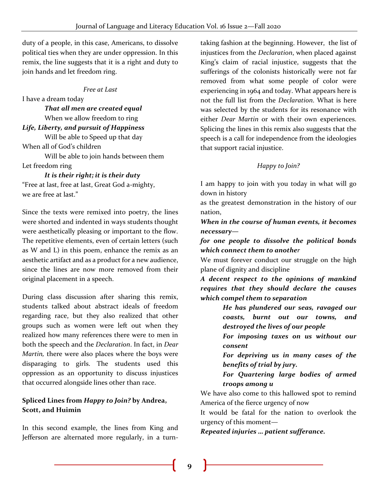duty of a people, in this case, Americans, to dissolve political ties when they are under oppression. In this remix, the line suggests that it is a right and duty to join hands and let freedom ring.

## *Free at Last*

I have a dream today

 *That all men are created equal* When we allow freedom to ring *Life, Liberty, and pursuit of Happiness*

 Will be able to Speed up that day When all of God's children

 Will be able to join hands between them Let freedom ring

### *It is their right; it is their duty*

"Free at last, free at last, Great God a-mighty, we are free at last."

Since the texts were remixed into poetry, the lines were shorted and indented in ways students thought were aesthetically pleasing or important to the flow. The repetitive elements, even of certain letters (such as W and L) in this poem, enhance the remix as an aesthetic artifact and as a product for a new audience, since the lines are now more removed from their original placement in a speech.

During class discussion after sharing this remix, students talked about abstract ideals of freedom regarding race, but they also realized that other groups such as women were left out when they realized how many references there were to men in both the speech and the *Declaration*. In fact, in *Dear Martin,* there were also places where the boys were disparaging to girls. The students used this oppression as an opportunity to discuss injustices that occurred alongside lines other than race.

## **Spliced Lines from** *Happy to Join?* **by Andrea, Scott, and Huimin**

In this second example, the lines from King and Jefferson are alternated more regularly, in a turntaking fashion at the beginning. However, the list of injustices from the *Declaration*, when placed against King's claim of racial injustice, suggests that the sufferings of the colonists historically were not far removed from what some people of color were experiencing in 1964 and today. What appears here is not the full list from the *Declaration*. What is here was selected by the students for its resonance with either *Dear Martin* or with their own experiences. Splicing the lines in this remix also suggests that the speech is a call for independence from the ideologies that support racial injustice.

## *Happy to Join?*

I am happy to join with you today in what will go down in history

as the greatest demonstration in the history of our nation,

*When in the course of human events, it becomes necessary—*

*for one people to dissolve the political bonds which connect them to another*

We must forever conduct our struggle on the high plane of dignity and discipline

*A decent respect to the opinions of mankind requires that they should declare the causes which compel them to separation*

> *He has plundered our seas, ravaged our coasts, burnt out our towns, and destroyed the lives of our people*

> *For imposing taxes on us without our consent*

> *For depriving us in many cases of the benefits of trial by jury.*

> *For Quartering large bodies of armed troops among u*

We have also come to this hallowed spot to remind America of the fierce urgency of now

It would be fatal for the nation to overlook the urgency of this moment—

*Repeated injuries … patient sufferance.*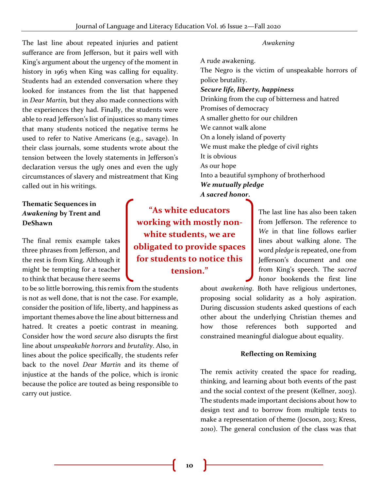The last line about repeated injuries and patient sufferance are from Jefferson, but it pairs well with King's argument about the urgency of the moment in history in 1963 when King was calling for equality. Students had an extended conversation where they looked for instances from the list that happened in *Dear Martin,* but they also made connections with the experiences they had. Finally, the students were able to read Jefferson's list of injustices so many times that many students noticed the negative terms he used to refer to Native Americans (e.g., savage). In their class journals, some students wrote about the tension between the lovely statements in Jefferson's declaration versus the ugly ones and even the ugly circumstances of slavery and mistreatment that King called out in his writings.

## **Thematic Sequences in**  *Awakening* **by Trent and DeShawn**

The final remix example takes three phrases from Jefferson, and the rest is from King. Although it might be tempting for a teacher to think that because there seems

to be so little borrowing, this remix from the students is not as well done, that is not the case. For example, consider the position of life, liberty, and happiness as important themes above the line about bitterness and hatred. It creates a poetic contrast in meaning. Consider how the word *secure* also disrupts the first line about *unspeakable horrors* and *brutality*. Also, in lines about the police specifically, the students refer back to the novel *Dear Martin* and its theme of injustice at the hands of the police, which is ironic because the police are touted as being responsible to carry out justice.

**"As white educators working with mostly nonwhite students, we are obligated to provide spaces for students to notice this tension."**

*Awakening*

A rude awakening. The Negro is the victim of unspeakable horrors of police brutality. *Secure life, liberty, happiness* Drinking from the cup of bitterness and hatred Promises of democracy A smaller ghetto for our children We cannot walk alone On a lonely island of poverty We must make the pledge of civil rights It is obvious As our hope Into a beautiful symphony of brotherhood *We mutually pledge A sacred honor.*

> The last line has also been taken from Jefferson. The reference to *We* in that line follows earlier lines about walking alone. The word *pledge* is repeated, one from Jefferson's document and one from King's speech. The *sacred honor* bookends the first line

about *awakening*. Both have religious undertones, proposing social solidarity as a holy aspiration. During discussion students asked questions of each other about the underlying Christian themes and how those references both supported and constrained meaningful dialogue about equality.

#### **Reflecting on Remixing**

The remix activity created the space for reading, thinking, and learning about both events of the past and the social context of the present (Kellner, 2003). The students made important decisions about how to design text and to borrow from multiple texts to make a representation of theme (Jocson, 2013; Kress, 2010). The general conclusion of the class was that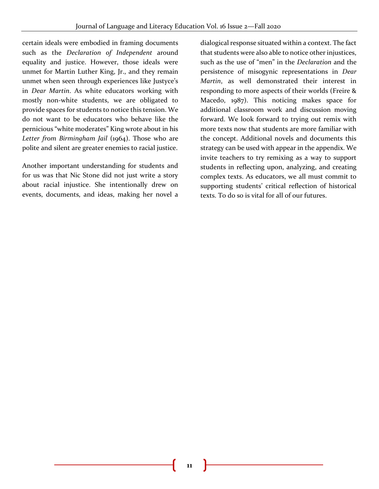certain ideals were embodied in framing documents such as the *Declaration of Independent* around equality and justice. However, those ideals were unmet for Martin Luther King, Jr., and they remain unmet when seen through experiences like Justyce's in *Dear Martin*. As white educators working with mostly non-white students, we are obligated to provide spaces for students to notice this tension. We do not want to be educators who behave like the pernicious "white moderates" King wrote about in his *Letter from Birmingham Jail* (1964). Those who are polite and silent are greater enemies to racial justice.

Another important understanding for students and for us was that Nic Stone did not just write a story about racial injustice. She intentionally drew on events, documents, and ideas, making her novel a

dialogical response situated within a context. The fact that students were also able to notice other injustices, such as the use of "men" in the *Declaration* and the persistence of misogynic representations in *Dear Martin*, as well demonstrated their interest in responding to more aspects of their worlds (Freire & Macedo, 1987). This noticing makes space for additional classroom work and discussion moving forward. We look forward to trying out remix with more texts now that students are more familiar with the concept. Additional novels and documents this strategy can be used with appear in the appendix. We invite teachers to try remixing as a way to support students in reflecting upon, analyzing, and creating complex texts. As educators, we all must commit to supporting students' critical reflection of historical texts. To do so is vital for all of our futures.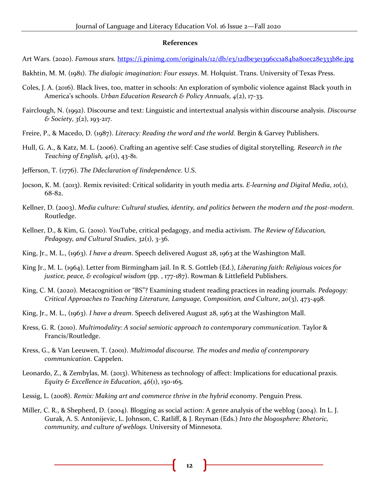#### **References**

- Art Wars. (2020). *Famous stars.* <https://i.pinimg.com/originals/12/db/e3/12dbe3e1396cc1a84ba80ec28e333b8e.jpg>
- Bakhtin, M. M. (1981). *The dialogic imagination: Four essays*. M. Holquist. Trans. University of Texas Press.
- Coles, J. A. (2016). Black lives, too, matter in schools: An exploration of symbolic violence against Black youth in America's schools. *Urban Education Research & Policy Annuals*, *4*(2), 17-33.
- Fairclough, N. (1992). Discourse and text: Linguistic and intertextual analysis within discourse analysis. *Discourse & Society*, *3*(2), 193-217.
- Freire, P., & Macedo, D. (1987). *Literacy: Reading the word and the world.* Bergin & Garvey Publishers.
- Hull, G. A., & Katz, M. L. (2006). Crafting an agentive self: Case studies of digital storytelling. *Research in the Teaching of English, 41*(1), 43-81.
- Jefferson, T. (1776). *The Ddeclaration of Iindependence*. U.S.
- Jocson, K. M. (2013). Remix revisited: Critical solidarity in youth media arts. *E-learning and Digital Media*, *10*(1), 68-82.
- Kellner, D. (2003). *Media culture: Cultural studies, identity, and politics between the modern and the post-modern*. Routledge.
- Kellner, D., & Kim, G. (2010). YouTube, critical pedagogy, and media activism. *The Review of Education, Pedagogy, and Cultural Studies*, *32*(1), 3-36.
- King, Jr., M. L., (1963). *I have a dream*. Speech delivered August 28, 1963 at the Washington Mall.
- King Jr., M. L. (1964). Letter from Birmingham jail. In R. S. Gottleb (Ed.), *Liberating faith: Religious voices for justice, peace, & ecological wisdom* (pp. , 177-187). Rowman & Littlefield Publishers.
- King, C. M. (2020). Metacognition or "BS"? Examining student reading practices in reading journals. *Pedagogy: Critical Approaches to Teaching Literature, Language, Composition, and Culture*, *20*(3), 473-498.
- King, Jr., M. L., (1963). *I have a dream*. Speech delivered August 28, 1963 at the Washington Mall.
- Kress, G. R. (2010). *Multimodality: A social semiotic approach to contemporary communication*. Taylor & Francis/Routledge.
- Kress, G., & Van Leeuwen, T. (2001). *Multimodal discourse. The modes and media of contemporary communication*. Cappelen.
- Leonardo, Z., & Zembylas, M. (2013). Whiteness as technology of affect: Implications for educational praxis. *Equity & Excellence in Education*, *46*(1), 150-165.
- Lessig, L. (2008). *Remix: Making art and commerce thrive in the hybrid economy*. Penguin Press.
- Miller, C. R., & Shepherd, D. (2004). Blogging as social action: A genre analysis of the weblog (2004). In L. J. Gurak, A. S. Antonijevic, L. Johnson, C. Ratliff, & J. Reyman (Eds.) *Into the blogosphere: Rhetoric, community, and culture of weblogs.* University of Minnesota.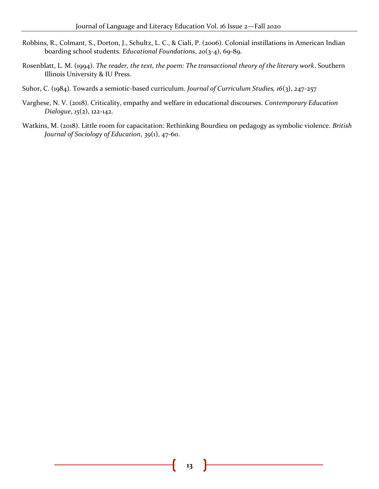- Robbins, R., Colmant, S., Dorton, J., Schultz, L. C., & Ciali, P. (2006). Colonial instillations in American Indian boarding school students. *Educational Foundations*, *20*(3-4), 69-89.
- Rosenblatt, L. M. (1994). *The reader, the text, the poem: The transactional theory of the literary work*. Southern Illinois University & IU Press.
- Suhor, C. (1984). Towards a semiotic-based curriculum. *Journal of Curriculum Studies, 16*(3), 247-257
- Varghese, N. V. (2018). Criticality, empathy and welfare in educational discourses. *Contemporary Education Dialogue*, *15*(2), 122-142.
- Watkins, M. (2018). Little room for capacitation: Rethinking Bourdieu on pedagogy as symbolic violence. *British Journal of Sociology of Education*, *39*(1), 47-60.